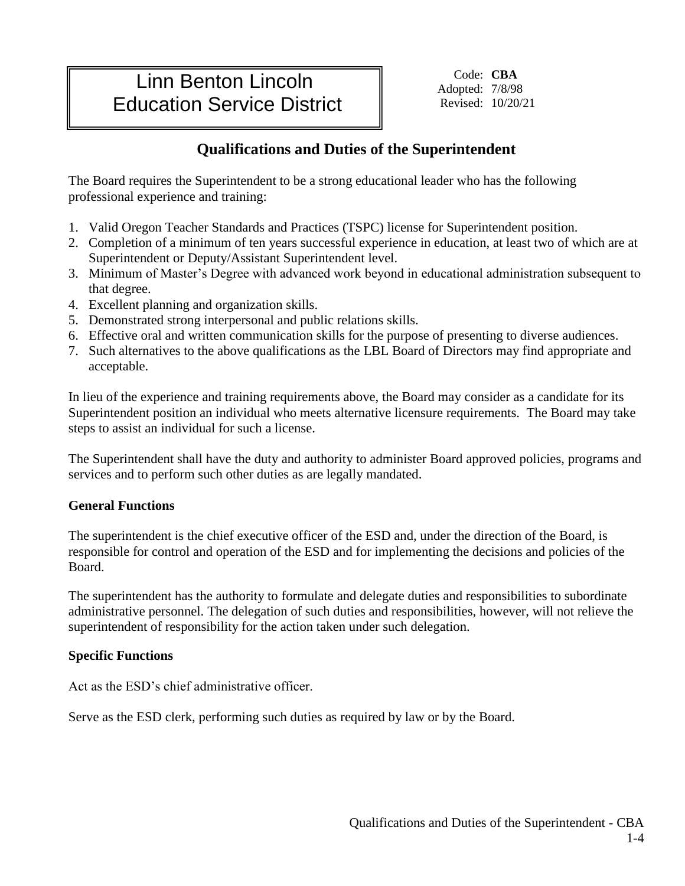# Linn Benton Lincoln Education Service District

Code: **CBA** Adopted: 7/8/98 Revised: 10/20/21

## **Qualifications and Duties of the Superintendent**

The Board requires the Superintendent to be a strong educational leader who has the following professional experience and training:

- 1. Valid Oregon Teacher Standards and Practices (TSPC) license for Superintendent position.
- 2. Completion of a minimum of ten years successful experience in education, at least two of which are at Superintendent or Deputy/Assistant Superintendent level.
- 3. Minimum of Master's Degree with advanced work beyond in educational administration subsequent to that degree.
- 4. Excellent planning and organization skills.
- 5. Demonstrated strong interpersonal and public relations skills.
- 6. Effective oral and written communication skills for the purpose of presenting to diverse audiences.
- 7. Such alternatives to the above qualifications as the LBL Board of Directors may find appropriate and acceptable.

In lieu of the experience and training requirements above, the Board may consider as a candidate for its Superintendent position an individual who meets alternative licensure requirements. The Board may take steps to assist an individual for such a license.

The Superintendent shall have the duty and authority to administer Board approved policies, programs and services and to perform such other duties as are legally mandated.

#### **General Functions**

The superintendent is the chief executive officer of the ESD and, under the direction of the Board, is responsible for control and operation of the ESD and for implementing the decisions and policies of the Board.

The superintendent has the authority to formulate and delegate duties and responsibilities to subordinate administrative personnel. The delegation of such duties and responsibilities, however, will not relieve the superintendent of responsibility for the action taken under such delegation.

### **Specific Functions**

Act as the ESD's chief administrative officer.

Serve as the ESD clerk, performing such duties as required by law or by the Board.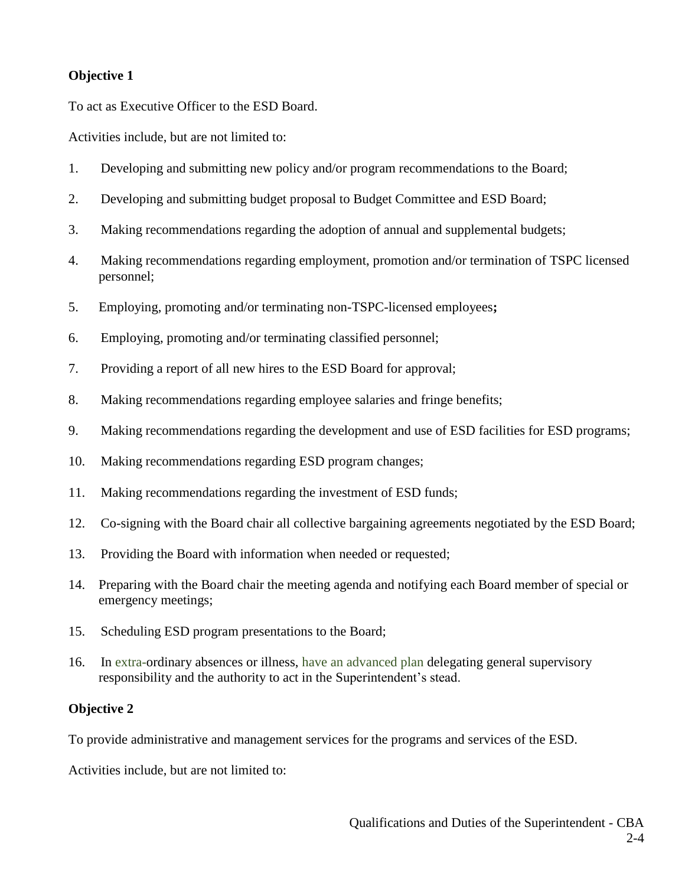#### **Objective 1**

To act as Executive Officer to the ESD Board.

Activities include, but are not limited to:

- 1. Developing and submitting new policy and/or program recommendations to the Board;
- 2. Developing and submitting budget proposal to Budget Committee and ESD Board;
- 3. Making recommendations regarding the adoption of annual and supplemental budgets;
- 4. Making recommendations regarding employment, promotion and/or termination of TSPC licensed personnel;
- 5. Employing, promoting and/or terminating non-TSPC-licensed employees**;**
- 6. Employing, promoting and/or terminating classified personnel;
- 7. Providing a report of all new hires to the ESD Board for approval;
- 8. Making recommendations regarding employee salaries and fringe benefits;
- 9. Making recommendations regarding the development and use of ESD facilities for ESD programs;
- 10. Making recommendations regarding ESD program changes;
- 11. Making recommendations regarding the investment of ESD funds;
- 12. Co-signing with the Board chair all collective bargaining agreements negotiated by the ESD Board;
- 13. Providing the Board with information when needed or requested;
- 14. Preparing with the Board chair the meeting agenda and notifying each Board member of special or emergency meetings;
- 15. Scheduling ESD program presentations to the Board;
- 16. In extra-ordinary absences or illness, have an advanced plan delegating general supervisory responsibility and the authority to act in the Superintendent's stead.

#### **Objective 2**

To provide administrative and management services for the programs and services of the ESD.

Activities include, but are not limited to: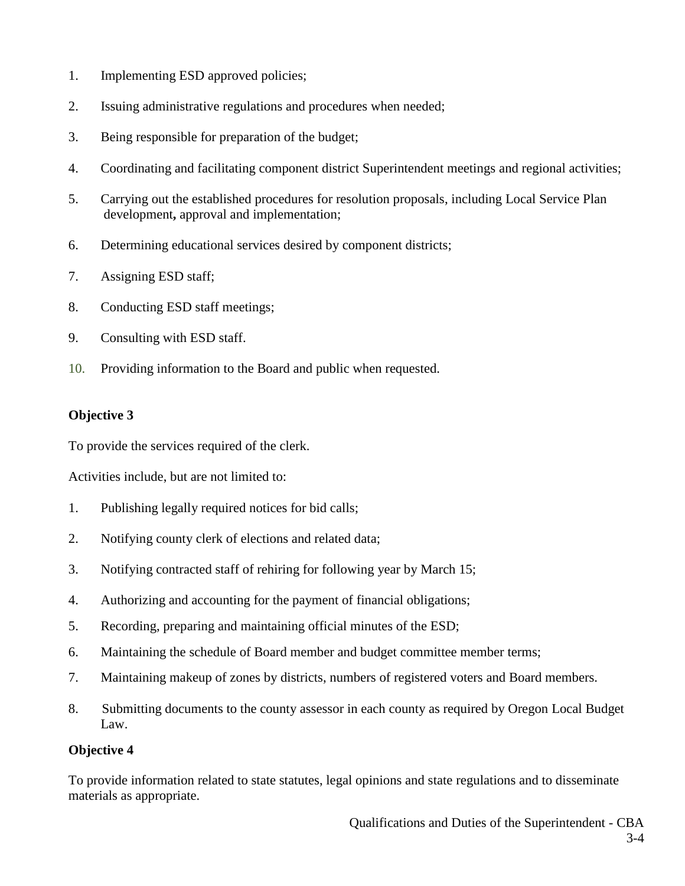- 1. Implementing ESD approved policies;
- 2. Issuing administrative regulations and procedures when needed;
- 3. Being responsible for preparation of the budget;
- 4. Coordinating and facilitating component district Superintendent meetings and regional activities;
- 5. Carrying out the established procedures for resolution proposals, including Local Service Plan development**,** approval and implementation;
- 6. Determining educational services desired by component districts;
- 7. Assigning ESD staff;
- 8. Conducting ESD staff meetings;
- 9. Consulting with ESD staff.
- 10. Providing information to the Board and public when requested.

### **Objective 3**

To provide the services required of the clerk.

Activities include, but are not limited to:

- 1. Publishing legally required notices for bid calls;
- 2. Notifying county clerk of elections and related data;
- 3. Notifying contracted staff of rehiring for following year by March 15;
- 4. Authorizing and accounting for the payment of financial obligations;
- 5. Recording, preparing and maintaining official minutes of the ESD;
- 6. Maintaining the schedule of Board member and budget committee member terms;
- 7. Maintaining makeup of zones by districts, numbers of registered voters and Board members.
- 8. Submitting documents to the county assessor in each county as required by Oregon Local Budget Law.

#### **Objective 4**

To provide information related to state statutes, legal opinions and state regulations and to disseminate materials as appropriate.